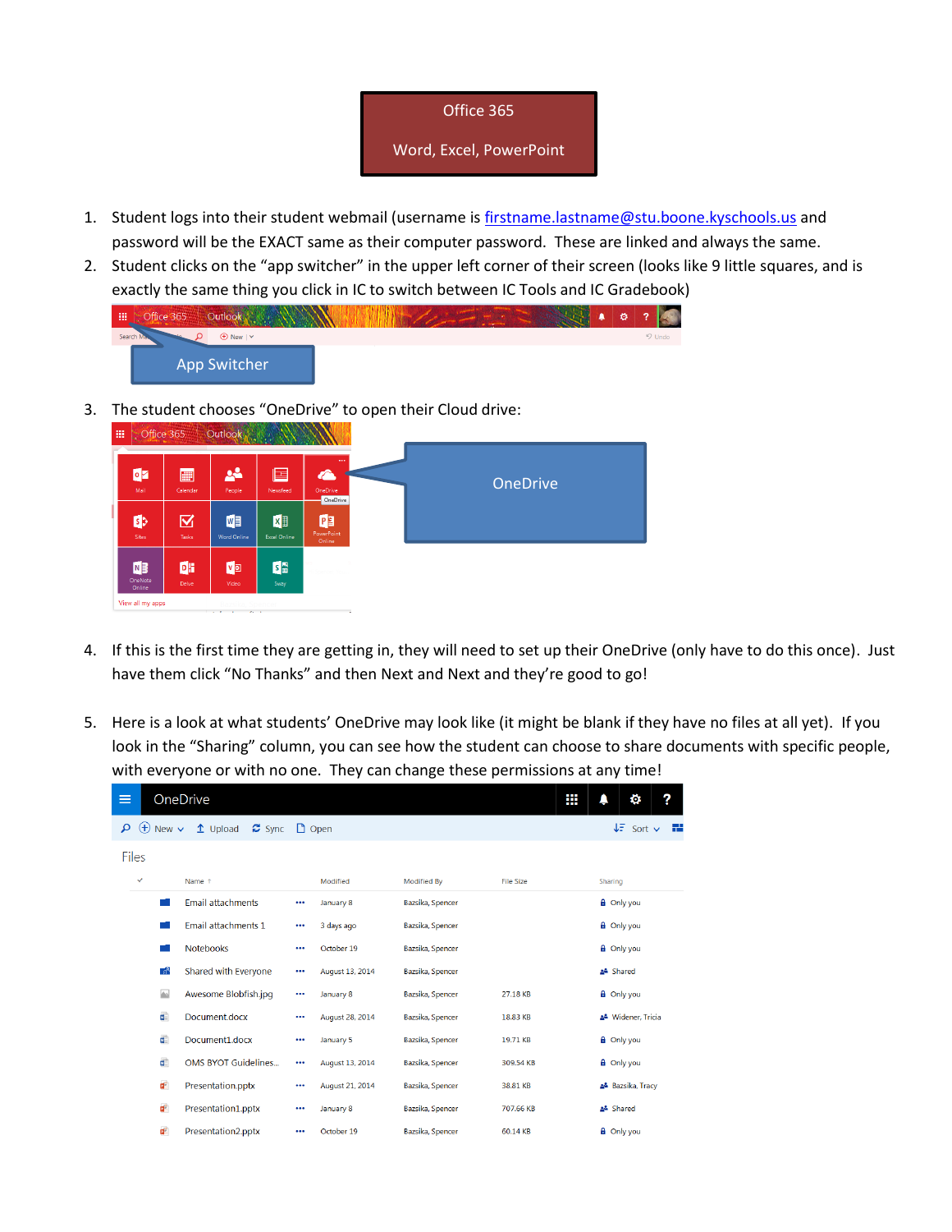

- 1. Student logs into their student webmail (username i[s firstname.lastname@stu.boone.kyschools.us](mailto:firstname.lastname@stu.boone.kyschools.us) and password will be the EXACT same as their computer password. These are linked and always the same.
- 2. Student clicks on the "app switcher" in the upper left corner of their screen (looks like 9 little squares, and is exactly the same thing you click in IC to switch between IC Tools and IC Gradebook)

| 冊 | Office 365 | Outlook                            |  |  | Ŏ | ◠        |
|---|------------|------------------------------------|--|--|---|----------|
|   | Search Ma  | $\bigoplus$ New $\vert \vee \vert$ |  |  |   | $9$ Undo |
|   |            | App Switcher                       |  |  |   |          |

3. The student chooses "OneDrive" to open their Cloud drive:



- 4. If this is the first time they are getting in, they will need to set up their OneDrive (only have to do this once). Just have them click "No Thanks" and then Next and Next and they're good to go!
- 5. Here is a look at what students' OneDrive may look like (it might be blank if they have no files at all yet). If you look in the "Sharing" column, you can see how the student can choose to share documents with specific people, with everyone or with no one. They can change these permissions at any time!

| ≡            |                         | OneDrive                            |          |                 |                    | Ш                | ?<br>o                               |
|--------------|-------------------------|-------------------------------------|----------|-----------------|--------------------|------------------|--------------------------------------|
| م            | $^{(+)}$<br>New $\vee$  | $\uparrow$ Upload<br>$\approx$ Sync |          | $\Box$ Open     |                    |                  | $\downarrow \equiv$ Sort $\vee$<br>æ |
| <b>Files</b> |                         |                                     |          |                 |                    |                  |                                      |
|              | $\checkmark$            | Name 1                              |          | Modified        | <b>Modified By</b> | <b>File Size</b> | Sharing                              |
|              |                         | <b>Email attachments</b>            | $\cdots$ | January 8       | Bazsika, Spencer   |                  | <b>a</b> Only you                    |
|              |                         | Email attachments 1                 | $\cdots$ | 3 days ago      | Bazsika, Spencer   |                  | <b>A</b> Only you                    |
|              |                         | <b>Notebooks</b>                    | $\cdots$ | October 19      | Bazsika, Spencer   |                  | <b>A</b> Only you                    |
|              | $\mathbb{R}^R$          | Shared with Everyone                | $\cdots$ | August 13, 2014 | Bazsika, Spencer   |                  | Shared                               |
|              | $\Delta$                | Awesome Blobfish.jpg                | $\cdots$ | January 8       | Bazsika, Spencer   | 27.18 KB         | <b>A</b> Only you                    |
|              | w.                      | Document.docx                       |          | August 28, 2014 | Bazsika, Spencer   | 18.83 KB         | & Widener, Tricia                    |
|              | u)                      | Document1.docx                      |          | January 5       | Bazsika, Spencer   | 19.71 KB         | <b>a</b> Only you                    |
|              | $\overline{\mathbf{w}}$ | <b>OMS BYOT Guidelines</b>          |          | August 13, 2014 | Bazsika, Spencer   | 309.54 KB        | <b>a</b> Only you                    |
|              | ď.                      | Presentation.pptx                   | $\cdots$ | August 21, 2014 | Bazsika, Spencer   | 38.81 KB         | Bazsika, Tracy                       |
|              | ď                       | Presentation1.pptx                  | $\cdots$ | January 8       | Bazsika, Spencer   | 707.66 KB        | Shared                               |
|              | ď                       | Presentation2.pptx                  |          | October 19      | Bazsika, Spencer   | 60.14 KB         | <b>A</b> Only you                    |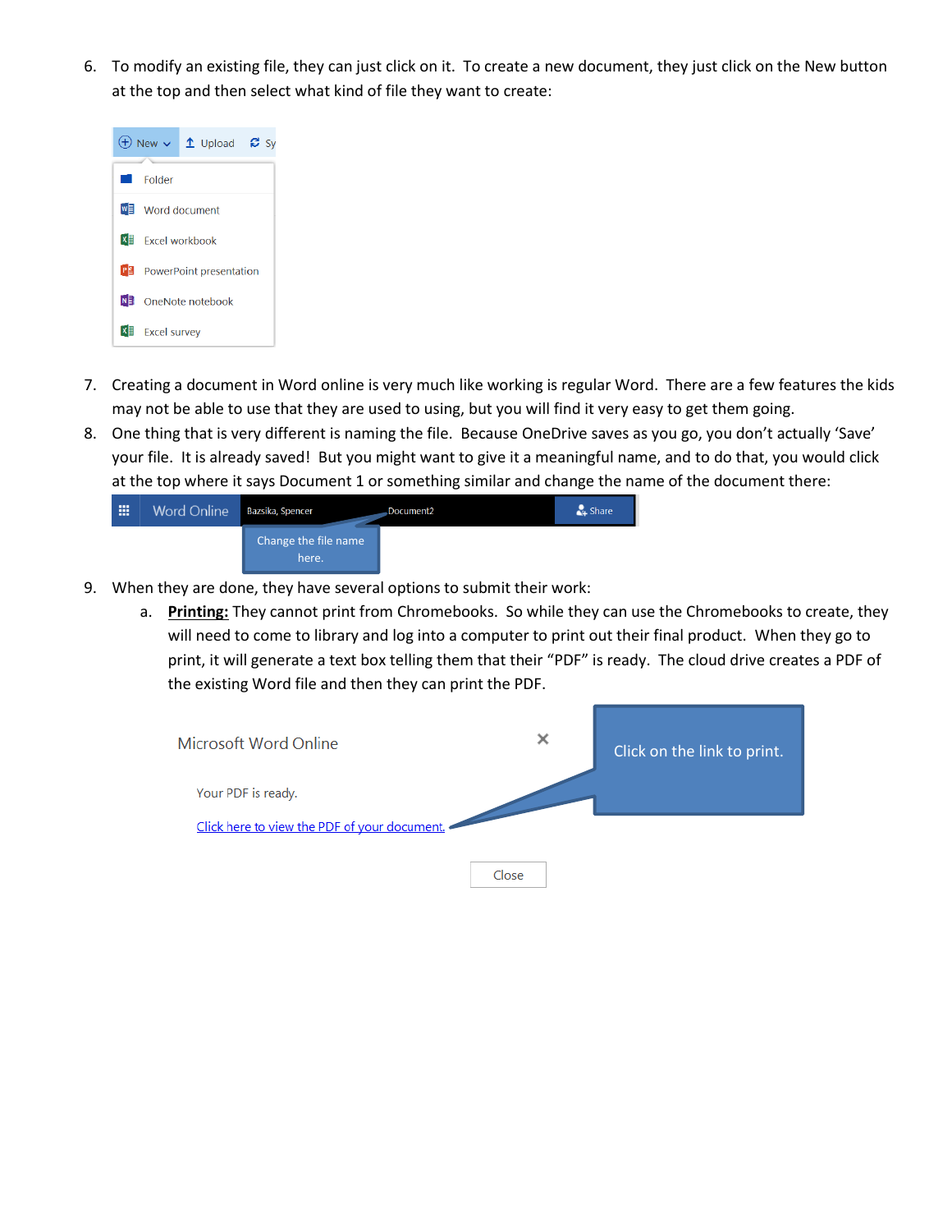6. To modify an existing file, they can just click on it. To create a new document, they just click on the New button at the top and then select what kind of file they want to create:



- 7. Creating a document in Word online is very much like working is regular Word. There are a few features the kids may not be able to use that they are used to using, but you will find it very easy to get them going.
- 8. One thing that is very different is naming the file. Because OneDrive saves as you go, you don't actually 'Save' your file. It is already saved! But you might want to give it a meaningful name, and to do that, you would click at the top where it says Document 1 or something similar and change the name of the document there:



- 9. When they are done, they have several options to submit their work:
	- a. **Printing:** They cannot print from Chromebooks. So while they can use the Chromebooks to create, they will need to come to library and log into a computer to print out their final product. When they go to print, it will generate a text box telling them that their "PDF" is ready. The cloud drive creates a PDF of the existing Word file and then they can print the PDF.

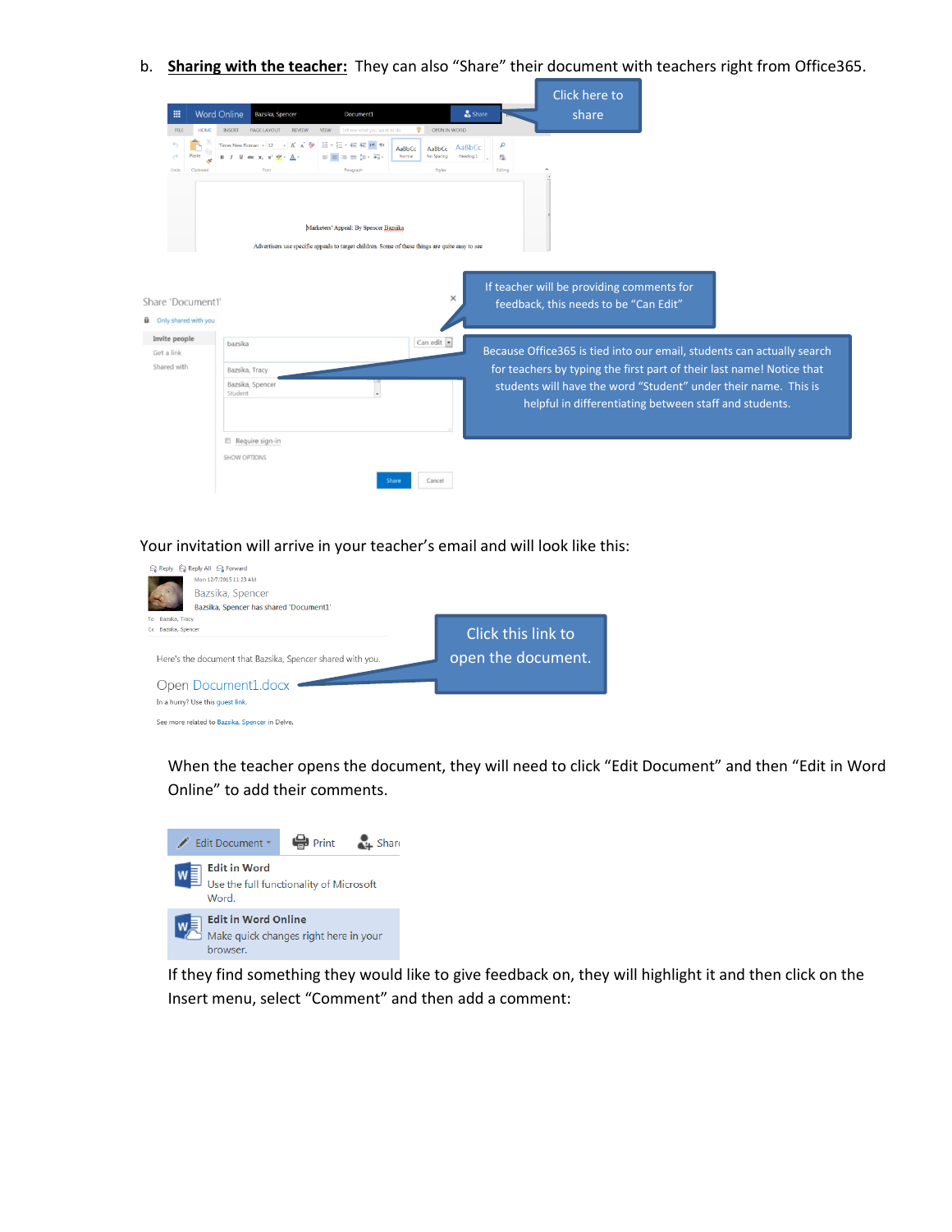b. **Sharing with the teacher:** They can also "Share" their document with teachers right from Office365.

|                                                    |                                                        |                                                                                                                                          |                                             |         | Click here to                                                                      |                                                                        |  |
|----------------------------------------------------|--------------------------------------------------------|------------------------------------------------------------------------------------------------------------------------------------------|---------------------------------------------|---------|------------------------------------------------------------------------------------|------------------------------------------------------------------------|--|
| 冊                                                  | <b>Word Online</b><br>Bazsika, Spencer                 | Document1                                                                                                                                | Share                                       |         | share                                                                              |                                                                        |  |
| <b>HOME</b><br><b>FILE</b>                         | <b>INSERT</b><br>PAGE LAYOUT<br><b>REVIEW</b>          | <b>VIEW</b><br>Tell me what you want to do                                                                                               | OPEN IN WORD                                |         |                                                                                    |                                                                        |  |
| Paste                                              | $\Delta$ $\theta$<br>Times New Roman - 12<br>als: x, x | E-E-EERN<br>AaBbCc<br>Normal<br>生生酸・細                                                                                                    | AaBbCc<br>AaBbCc<br>No Spading<br>Heading 1 | م<br>忠  |                                                                                    |                                                                        |  |
| Undo<br>Clipboard                                  | Font                                                   | Paragraph                                                                                                                                | Styles                                      | Editing |                                                                                    |                                                                        |  |
| Share 'Document1'<br><b>Q</b> Only shared with you |                                                        | Marketers' Appeal: By Spencer Bazsika<br>Advertisers use specific appeals to target children. Some of these things are quite easy to see | ×                                           |         | If teacher will be providing comments for<br>feedback, this needs to be "Can Edit" |                                                                        |  |
| Invite people<br>Get a link                        | bazsika                                                |                                                                                                                                          | Can edit -                                  |         |                                                                                    | Because Office365 is tied into our email, students can actually search |  |
| Shared with                                        | Bazsika, Tracy                                         |                                                                                                                                          |                                             |         |                                                                                    | for teachers by typing the first part of their last name! Notice that  |  |
|                                                    | Bazsika, Spencer<br>Student                            | $\overline{\phantom{a}}$                                                                                                                 |                                             |         | helpful in differentiating between staff and students.                             | students will have the word "Student" under their name. This is        |  |
|                                                    | Require sign-in                                        |                                                                                                                                          |                                             |         |                                                                                    |                                                                        |  |
|                                                    | SHOW OPTIONS                                           |                                                                                                                                          |                                             |         |                                                                                    |                                                                        |  |
|                                                    |                                                        | Share                                                                                                                                    | Cancel                                      |         |                                                                                    |                                                                        |  |

Your invitation will arrive in your teacher's email and will look like this:



When the teacher opens the document, they will need to click "Edit Document" and then "Edit in Word Online" to add their comments.



If they find something they would like to give feedback on, they will highlight it and then click on the Insert menu, select "Comment" and then add a comment: